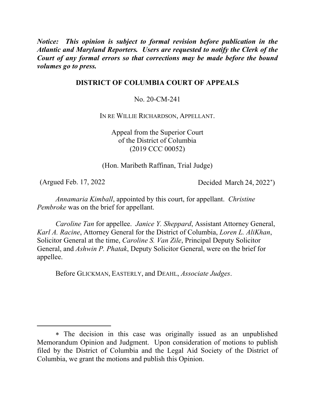*Notice: This opinion is subject to formal revision before publication in the Atlantic and Maryland Reporters. Users are requested to notify the Clerk of the Court of any formal errors so that corrections may be made before the bound volumes go to press.*

# **DISTRICT OF COLUMBIA COURT OF APPEALS**

No. 20-CM-241

IN RE WILLIE RICHARDSON, APPELLANT.

Appeal from the Superior Court of the District of Columbia (2019 CCC 00052)

(Hon. Maribeth Raffinan, Trial Judge)

 $\overline{a}$ 

(Argued Feb. 17, 2022 Decided March 24, 2022<sup>∗</sup> )

*Annamaria Kimball*, appointed by this court, for appellant. *Christine Pembroke* was on the brief for appellant.

*Caroline Tan* for appellee. *Janice Y. Sheppard*, Assistant Attorney General, *Karl A. Racine*, Attorney General for the District of Columbia, *Loren L. AliKhan*, Solicitor General at the time, *Caroline S. Van Zile*, Principal Deputy Solicitor General, and *Ashwin P. Phatak*, Deputy Solicitor General, were on the brief for appellee.

Before GLICKMAN, EASTERLY, and DEAHL, *Associate Judges*.

<sup>∗</sup> The decision in this case was originally issued as an unpublished Memorandum Opinion and Judgment. Upon consideration of motions to publish filed by the District of Columbia and the Legal Aid Society of the District of Columbia, we grant the motions and publish this Opinion.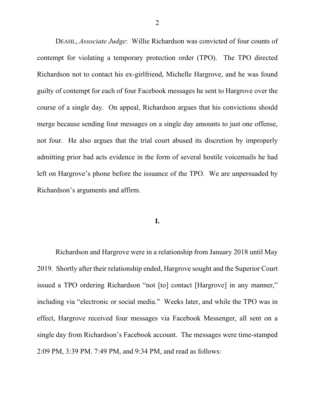DEAHL, *Associate Judge*: Willie Richardson was convicted of four counts of contempt for violating a temporary protection order (TPO). The TPO directed Richardson not to contact his ex-girlfriend, Michelle Hargrove, and he was found guilty of contempt for each of four Facebook messages he sent to Hargrove over the course of a single day. On appeal, Richardson argues that his convictions should merge because sending four messages on a single day amounts to just one offense, not four. He also argues that the trial court abused its discretion by improperly admitting prior bad acts evidence in the form of several hostile voicemails he had left on Hargrove's phone before the issuance of the TPO. We are unpersuaded by Richardson's arguments and affirm.

## **I.**

Richardson and Hargrove were in a relationship from January 2018 until May 2019. Shortly after their relationship ended, Hargrove sought and the Superior Court issued a TPO ordering Richardson "not [to] contact [Hargrove] in any manner," including via "electronic or social media." Weeks later, and while the TPO was in effect, Hargrove received four messages via Facebook Messenger, all sent on a single day from Richardson's Facebook account. The messages were time-stamped 2:09 PM, 3:39 PM. 7:49 PM, and 9:34 PM, and read as follows: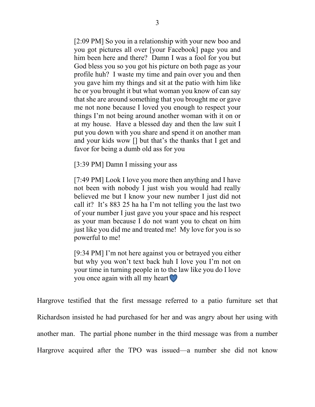[2:09 PM] So you in a relationship with your new boo and you got pictures all over [your Facebook] page you and him been here and there? Damn I was a fool for you but God bless you so you got his picture on both page as your profile huh? I waste my time and pain over you and then you gave him my things and sit at the patio with him like he or you brought it but what woman you know of can say that she are around something that you brought me or gave me not none because I loved you enough to respect your things I'm not being around another woman with it on or at my house. Have a blessed day and then the law suit I put you down with you share and spend it on another man and your kids wow [] but that's the thanks that I get and favor for being a dumb old ass for you

[3:39 PM] Damn I missing your ass

[7:49 PM] Look I love you more then anything and I have not been with nobody I just wish you would had really believed me but I know your new number I just did not call it? It's 883 25 ha ha I'm not telling you the last two of your number I just gave you your space and his respect as your man because I do not want you to cheat on him just like you did me and treated me! My love for you is so powerful to me!

[9:34 PM] I'm not here against you or betrayed you either but why you won't text back huh I love you I'm not on your time in turning people in to the law like you do I love you once again with all my heart

Hargrove testified that the first message referred to a patio furniture set that Richardson insisted he had purchased for her and was angry about her using with another man. The partial phone number in the third message was from a number Hargrove acquired after the TPO was issued—a number she did not know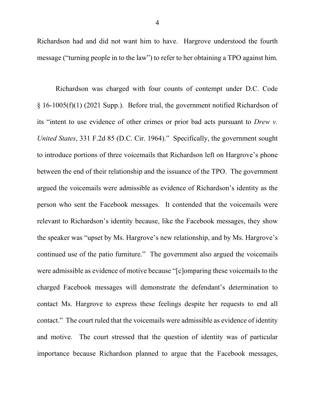Richardson had and did not want him to have. Hargrove understood the fourth message ("turning people in to the law") to refer to her obtaining a TPO against him.

Richardson was charged with four counts of contempt under D.C. Code § 16-1005(f)(1) (2021 Supp.). Before trial, the government notified Richardson of its "intent to use evidence of other crimes or prior bad acts pursuant to *Drew v. United States*, 331 F.2d 85 (D.C. Cir. 1964)." Specifically, the government sought to introduce portions of three voicemails that Richardson left on Hargrove's phone between the end of their relationship and the issuance of the TPO. The government argued the voicemails were admissible as evidence of Richardson's identity as the person who sent the Facebook messages. It contended that the voicemails were relevant to Richardson's identity because, like the Facebook messages, they show the speaker was "upset by Ms. Hargrove's new relationship, and by Ms. Hargrove's continued use of the patio furniture." The government also argued the voicemails were admissible as evidence of motive because "[c]omparing these voicemails to the charged Facebook messages will demonstrate the defendant's determination to contact Ms. Hargrove to express these feelings despite her requests to end all contact." The court ruled that the voicemails were admissible as evidence of identity and motive. The court stressed that the question of identity was of particular importance because Richardson planned to argue that the Facebook messages,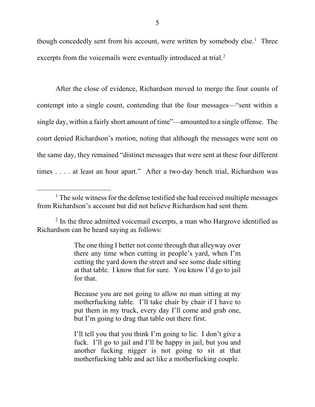though concededly sent from his account, were written by somebody else.<sup>1</sup> Three excerpts from the voicemails were eventually introduced at trial.<sup>2</sup>

After the close of evidence, Richardson moved to merge the four counts of contempt into a single count, contending that the four messages—"sent within a single day, within a fairly short amount of time"—amounted to a single offense. The court denied Richardson's motion, noting that although the messages were sent on the same day, they remained "distinct messages that were sent at these four different times . . . . at least an hour apart." After a two-day bench trial, Richardson was

The one thing I better not come through that alleyway over there any time when cutting in people's yard, when I'm cutting the yard down the street and see some dude sitting at that table. I know that for sure. You know I'd go to jail for that.

Because you are not going to allow no man sitting at my motherfucking table. I'll take chair by chair if I have to put them in my truck, every day I'll come and grab one, but I'm going to drag that table out there first.

I'll tell you that you think I'm going to lie. I don't give a fuck. I'll go to jail and I'll be happy in jail, but you and another fucking nigger is not going to sit at that motherfucking table and act like a motherfucking couple.

 $<sup>1</sup>$  The sole witness for the defense testified she had received multiple messages</sup> from Richardson's account but did not believe Richardson had sent them.

 $2 \text{ In the three admitted voicemail excerpts, a man who Hargrove identified as }$ Richardson can be heard saying as follows: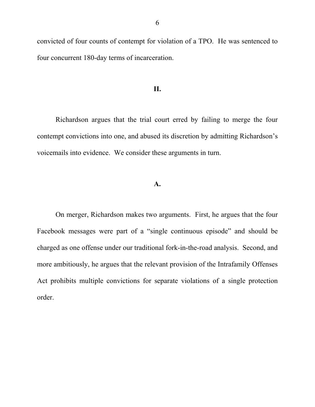convicted of four counts of contempt for violation of a TPO. He was sentenced to four concurrent 180-day terms of incarceration.

### **II.**

Richardson argues that the trial court erred by failing to merge the four contempt convictions into one, and abused its discretion by admitting Richardson's voicemails into evidence. We consider these arguments in turn.

## **A.**

On merger, Richardson makes two arguments. First, he argues that the four Facebook messages were part of a "single continuous episode" and should be charged as one offense under our traditional fork-in-the-road analysis. Second, and more ambitiously, he argues that the relevant provision of the Intrafamily Offenses Act prohibits multiple convictions for separate violations of a single protection order.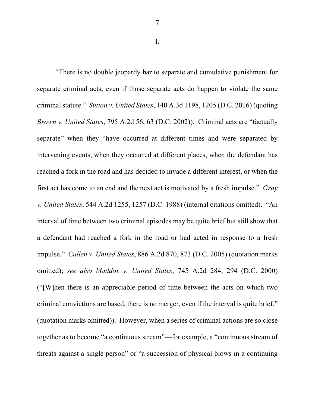7

**i.**

"There is no double jeopardy bar to separate and cumulative punishment for separate criminal acts, even if those separate acts do happen to violate the same criminal statute." *Sutton v. United States*, 140 A.3d 1198, 1205 (D.C. 2016) (quoting *Brown v. United States*, 795 A.2d 56, 63 (D.C. 2002)). Criminal acts are "factually separate" when they "have occurred at different times and were separated by intervening events, when they occurred at different places, when the defendant has reached a fork in the road and has decided to invade a different interest, or when the first act has come to an end and the next act is motivated by a fresh impulse." *Gray v. United States*, 544 A.2d 1255, 1257 (D.C. 1988) (internal citations omitted). "An interval of time between two criminal episodes may be quite brief but still show that a defendant had reached a fork in the road or had acted in response to a fresh impulse." *Cullen v. United States*, 886 A.2d 870, 873 (D.C. 2005) (quotation marks omitted); *see also Maddox v. United States*, 745 A.2d 284, 294 (D.C. 2000) ("[W]hen there is an appreciable period of time between the acts on which two criminal convictions are based, there is no merger, even if the interval is quite brief." (quotation marks omitted)). However, when a series of criminal actions are so close together as to become "a continuous stream"—for example, a "continuous stream of threats against a single person" or "a succession of physical blows in a continuing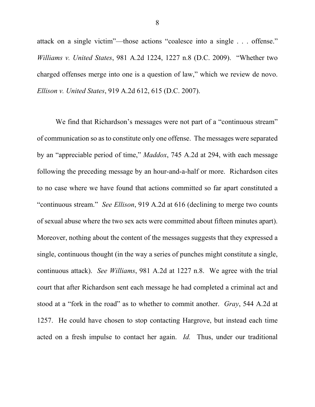attack on a single victim"—those actions "coalesce into a single . . . offense." *Williams v. United States*, 981 A.2d 1224, 1227 n.8 (D.C. 2009). "Whether two charged offenses merge into one is a question of law," which we review de novo. *Ellison v. United States*, 919 A.2d 612, 615 (D.C. 2007).

We find that Richardson's messages were not part of a "continuous stream" of communication so as to constitute only one offense. The messages were separated by an "appreciable period of time," *Maddox*, 745 A.2d at 294, with each message following the preceding message by an hour-and-a-half or more. Richardson cites to no case where we have found that actions committed so far apart constituted a "continuous stream." *See Ellison*, 919 A.2d at 616 (declining to merge two counts of sexual abuse where the two sex acts were committed about fifteen minutes apart). Moreover, nothing about the content of the messages suggests that they expressed a single, continuous thought (in the way a series of punches might constitute a single, continuous attack). *See Williams*, 981 A.2d at 1227 n.8. We agree with the trial court that after Richardson sent each message he had completed a criminal act and stood at a "fork in the road" as to whether to commit another. *Gray*, 544 A.2d at 1257. He could have chosen to stop contacting Hargrove, but instead each time acted on a fresh impulse to contact her again. *Id.* Thus, under our traditional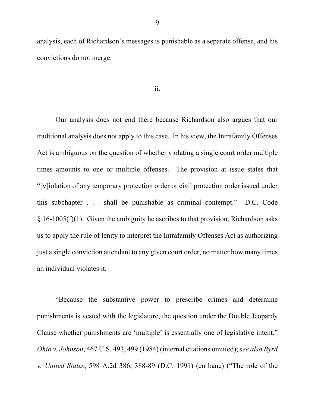analysis, each of Richardson's messages is punishable as a separate offense, and his convictions do not merge.

### **ii.**

Our analysis does not end there because Richardson also argues that our traditional analysis does not apply to this case. In his view, the Intrafamily Offenses Act is ambiguous on the question of whether violating a single court order multiple times amounts to one or multiple offenses. The provision at issue states that "[v]iolation of any temporary protection order or civil protection order issued under this subchapter . . . shall be punishable as criminal contempt." D.C. Code  $\S 16-1005(f)(1)$ . Given the ambiguity he ascribes to that provision, Richardson asks us to apply the rule of lenity to interpret the Intrafamily Offenses Act as authorizing just a single conviction attendant to any given court order, no matter how many times an individual violates it.

"Because the substantive power to prescribe crimes and determine punishments is vested with the legislature, the question under the Double Jeopardy Clause whether punishments are 'multiple' is essentially one of legislative intent." *Ohio v. Johnson*, 467 U.S. 493, 499 (1984) (internal citations omitted); *see also Byrd v. United States*, 598 A.2d 386, 388-89 (D.C. 1991) (en banc) ("The role of the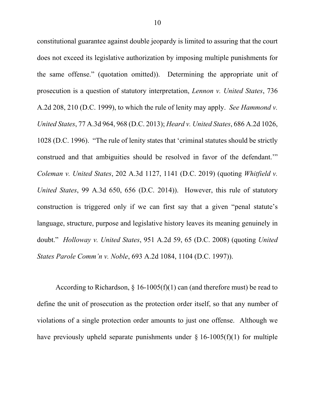constitutional guarantee against double jeopardy is limited to assuring that the court does not exceed its legislative authorization by imposing multiple punishments for the same offense." (quotation omitted)). Determining the appropriate unit of prosecution is a question of statutory interpretation, *Lennon v. United States*, 736 A.2d 208, 210 (D.C. 1999), to which the rule of lenity may apply. *See Hammond v. United States*, 77 A.3d 964, 968 (D.C. 2013); *Heard v. United States*, 686 A.2d 1026, 1028 (D.C. 1996). "The rule of lenity states that 'criminal statutes should be strictly construed and that ambiguities should be resolved in favor of the defendant.'" *Coleman v. United States*, 202 A.3d 1127, 1141 (D.C. 2019) (quoting *Whitfield v. United States*, 99 A.3d 650, 656 (D.C. 2014)). However, this rule of statutory construction is triggered only if we can first say that a given "penal statute's language, structure, purpose and legislative history leaves its meaning genuinely in doubt." *Holloway v. United States*, 951 A.2d 59, 65 (D.C. 2008) (quoting *United States Parole Comm'n v. Noble*, 693 A.2d 1084, 1104 (D.C. 1997)).

According to Richardson,  $\S$  16-1005(f)(1) can (and therefore must) be read to define the unit of prosecution as the protection order itself, so that any number of violations of a single protection order amounts to just one offense. Although we have previously upheld separate punishments under  $\S$  16-1005(f)(1) for multiple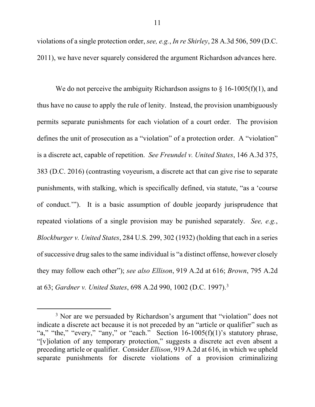violations of a single protection order, *see, e.g.*, *In re Shirley*, 28 A.3d 506, 509 (D.C. 2011), we have never squarely considered the argument Richardson advances here.

We do not perceive the ambiguity Richardson assigns to  $\S$  16-1005(f)(1), and thus have no cause to apply the rule of lenity. Instead, the provision unambiguously permits separate punishments for each violation of a court order. The provision defines the unit of prosecution as a "violation" of a protection order. A "violation" is a discrete act, capable of repetition. *See Freundel v. United States*, 146 A.3d 375, 383 (D.C. 2016) (contrasting voyeurism, a discrete act that can give rise to separate punishments, with stalking, which is specifically defined, via statute, "as a 'course of conduct.'"). It is a basic assumption of double jeopardy jurisprudence that repeated violations of a single provision may be punished separately. *See, e.g.*, *Blockburger v. United States*, 284 U.S. 299, 302 (1932) (holding that each in a series of successive drug sales to the same individual is "a distinct offense, however closely they may follow each other"); *see also Ellison*, 919 A.2d at 616; *Brown*, 795 A.2d at 63; *Gardner v. United States*, 698 A.2d 990, 1002 (D.C. 1997). 3

<sup>&</sup>lt;sup>3</sup> Nor are we persuaded by Richardson's argument that "violation" does not indicate a discrete act because it is not preceded by an "article or qualifier" such as "a," "the," "every," "any," or "each." Section  $16-1005(f)(1)$ 's statutory phrase, "[v]iolation of any temporary protection," suggests a discrete act even absent a preceding article or qualifier. Consider *Ellison*, 919 A.2d at 616, in which we upheld separate punishments for discrete violations of a provision criminalizing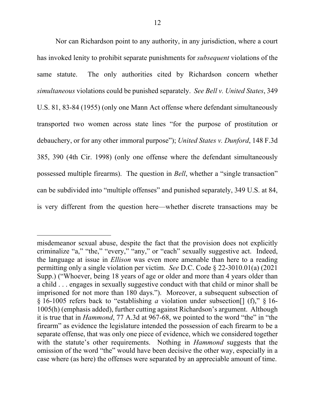Nor can Richardson point to any authority, in any jurisdiction, where a court has invoked lenity to prohibit separate punishments for *subsequent* violations of the same statute. The only authorities cited by Richardson concern whether *simultaneous* violations could be punished separately. *See Bell v. United States*, 349 U.S. 81, 83-84 (1955) (only one Mann Act offense where defendant simultaneously transported two women across state lines "for the purpose of prostitution or debauchery, or for any other immoral purpose"); *United States v. Dunford*, 148 F.3d 385, 390 (4th Cir. 1998) (only one offense where the defendant simultaneously possessed multiple firearms). The question in *Bell*, whether a "single transaction" can be subdivided into "multiple offenses" and punished separately, 349 U.S. at 84, is very different from the question here—whether discrete transactions may be

 $\overline{a}$ 

misdemeanor sexual abuse, despite the fact that the provision does not explicitly criminalize "a," "the," "every," "any," or "each" sexually suggestive act. Indeed, the language at issue in *Ellison* was even more amenable than here to a reading permitting only a single violation per victim. *See* D.C. Code § 22-3010.01(a) (2021 Supp.) ("Whoever, being 18 years of age or older and more than 4 years older than a child . . . engages in sexually suggestive conduct with that child or minor shall be imprisoned for not more than 180 days."). Moreover, a subsequent subsection of § 16-1005 refers back to "establishing *a* violation under subsection[] (f)," § 16- 1005(h) (emphasis added), further cutting against Richardson's argument. Although it is true that in *Hammond*, 77 A.3d at 967-68, we pointed to the word "the" in "the firearm" as evidence the legislature intended the possession of each firearm to be a separate offense, that was only one piece of evidence, which we considered together with the statute's other requirements. Nothing in *Hammond* suggests that the omission of the word "the" would have been decisive the other way, especially in a case where (as here) the offenses were separated by an appreciable amount of time.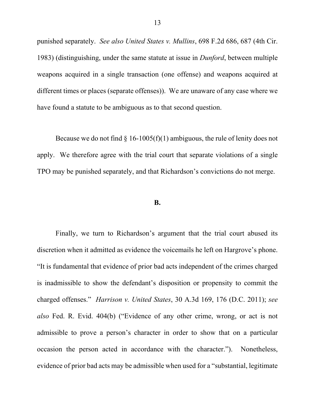punished separately. *See also United States v. Mullins*, 698 F.2d 686, 687 (4th Cir. 1983) (distinguishing, under the same statute at issue in *Dunford*, between multiple weapons acquired in a single transaction (one offense) and weapons acquired at different times or places (separate offenses)). We are unaware of any case where we have found a statute to be ambiguous as to that second question.

Because we do not find  $\S$  16-1005(f)(1) ambiguous, the rule of lenity does not apply. We therefore agree with the trial court that separate violations of a single TPO may be punished separately, and that Richardson's convictions do not merge.

#### **B.**

Finally, we turn to Richardson's argument that the trial court abused its discretion when it admitted as evidence the voicemails he left on Hargrove's phone. "It is fundamental that evidence of prior bad acts independent of the crimes charged is inadmissible to show the defendant's disposition or propensity to commit the charged offenses." *Harrison v. United States*, 30 A.3d 169, 176 (D.C. 2011); *see also* Fed. R. Evid. 404(b) ("Evidence of any other crime, wrong, or act is not admissible to prove a person's character in order to show that on a particular occasion the person acted in accordance with the character."). Nonetheless, evidence of prior bad acts may be admissible when used for a "substantial, legitimate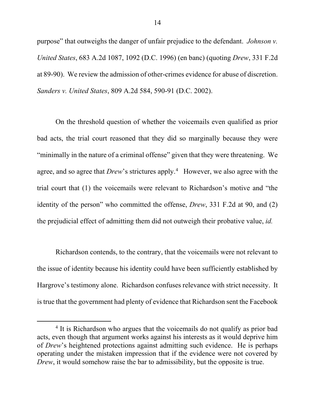purpose" that outweighs the danger of unfair prejudice to the defendant. *Johnson v. United States*, 683 A.2d 1087, 1092 (D.C. 1996) (en banc) (quoting *Drew*, 331 F.2d at 89-90). We review the admission of other-crimes evidence for abuse of discretion. *Sanders v. United States*, 809 A.2d 584, 590-91 (D.C. 2002).

On the threshold question of whether the voicemails even qualified as prior bad acts, the trial court reasoned that they did so marginally because they were "minimally in the nature of a criminal offense" given that they were threatening. We agree, and so agree that *Drew*'s strictures apply.<sup>4</sup> However, we also agree with the trial court that (1) the voicemails were relevant to Richardson's motive and "the identity of the person" who committed the offense, *Drew*, 331 F.2d at 90, and (2) the prejudicial effect of admitting them did not outweigh their probative value, *id.*

Richardson contends, to the contrary, that the voicemails were not relevant to the issue of identity because his identity could have been sufficiently established by Hargrove's testimony alone. Richardson confuses relevance with strict necessity. It is true that the government had plenty of evidence that Richardson sent the Facebook

<sup>&</sup>lt;sup>4</sup> It is Richardson who argues that the voicemails do not qualify as prior bad acts, even though that argument works against his interests as it would deprive him of *Drew*'s heightened protections against admitting such evidence. He is perhaps operating under the mistaken impression that if the evidence were not covered by *Drew*, it would somehow raise the bar to admissibility, but the opposite is true.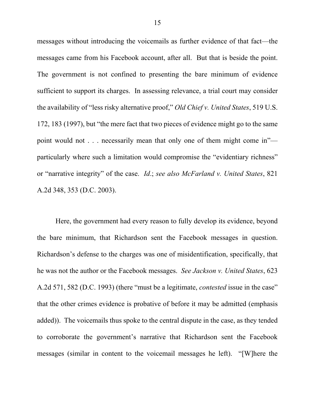messages without introducing the voicemails as further evidence of that fact—the messages came from his Facebook account, after all. But that is beside the point. The government is not confined to presenting the bare minimum of evidence sufficient to support its charges. In assessing relevance, a trial court may consider the availability of "less risky alternative proof," *Old Chief v. United States*, 519 U.S. 172, 183 (1997), but "the mere fact that two pieces of evidence might go to the same point would not . . . necessarily mean that only one of them might come in" particularly where such a limitation would compromise the "evidentiary richness" or "narrative integrity" of the case. *Id*.; *see also McFarland v. United States*, 821 A.2d 348, 353 (D.C. 2003).

Here, the government had every reason to fully develop its evidence, beyond the bare minimum, that Richardson sent the Facebook messages in question. Richardson's defense to the charges was one of misidentification, specifically, that he was not the author or the Facebook messages. *See Jackson v. United States*, 623 A.2d 571, 582 (D.C. 1993) (there "must be a legitimate, *contested* issue in the case" that the other crimes evidence is probative of before it may be admitted (emphasis added)). The voicemails thus spoke to the central dispute in the case, as they tended to corroborate the government's narrative that Richardson sent the Facebook messages (similar in content to the voicemail messages he left). "[W]here the